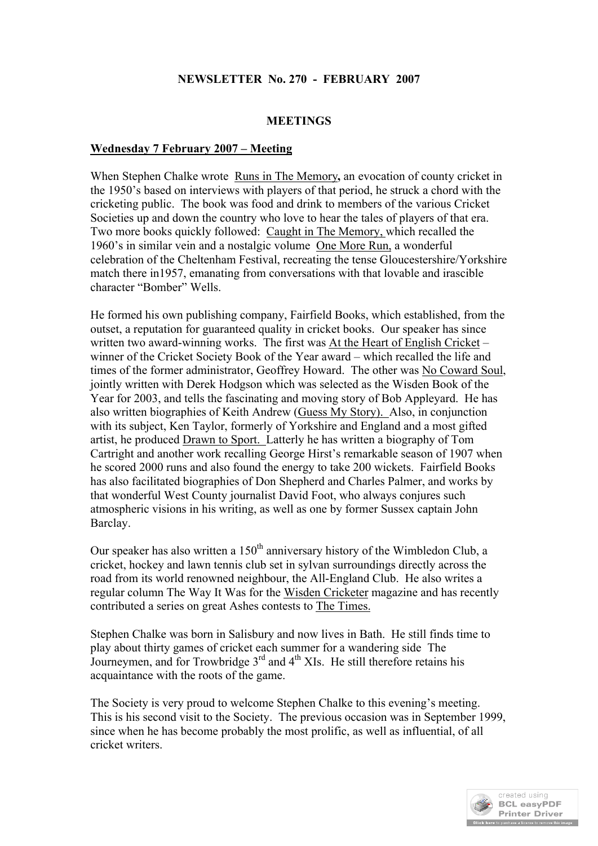# **NEWSLETTER No. 270 - FEBRUARY 2007**

## **MEETINGS**

#### **Wednesday 7 February 2007 – Meeting**

When Stephen Chalke wrote Runs in The Memory**,** an evocation of county cricket in the 1950's based on interviews with players of that period, he struck a chord with the cricketing public. The book was food and drink to members of the various Cricket Societies up and down the country who love to hear the tales of players of that era. Two more books quickly followed: Caught in The Memory, which recalled the 1960's in similar vein and a nostalgic volume One More Run, a wonderful celebration of the Cheltenham Festival, recreating the tense Gloucestershire/Yorkshire match there in1957, emanating from conversations with that lovable and irascible character "Bomber" Wells.

He formed his own publishing company, Fairfield Books, which established, from the outset, a reputation for guaranteed quality in cricket books. Our speaker has since written two award-winning works. The first was At the Heart of English Cricket – winner of the Cricket Society Book of the Year award – which recalled the life and times of the former administrator, Geoffrey Howard. The other was No Coward Soul, jointly written with Derek Hodgson which was selected as the Wisden Book of the Year for 2003, and tells the fascinating and moving story of Bob Appleyard. He has also written biographies of Keith Andrew (Guess My Story). Also, in conjunction with its subject, Ken Taylor, formerly of Yorkshire and England and a most gifted artist, he produced Drawn to Sport. Latterly he has written a biography of Tom Cartright and another work recalling George Hirst's remarkable season of 1907 when he scored 2000 runs and also found the energy to take 200 wickets. Fairfield Books has also facilitated biographies of Don Shepherd and Charles Palmer, and works by that wonderful West County journalist David Foot, who always conjures such atmospheric visions in his writing, as well as one by former Sussex captain John Barclay.

Our speaker has also written a  $150<sup>th</sup>$  anniversary history of the Wimbledon Club, a cricket, hockey and lawn tennis club set in sylvan surroundings directly across the road from its world renowned neighbour, the All-England Club. He also writes a regular column The Way It Was for the Wisden Cricketer magazine and has recently contributed a series on great Ashes contests to The Times.

Stephen Chalke was born in Salisbury and now lives in Bath. He still finds time to play about thirty games of cricket each summer for a wandering side The Journeymen, and for Trowbridge  $3<sup>rd</sup>$  and  $4<sup>th</sup>$  XIs. He still therefore retains his acquaintance with the roots of the game.

The Society is very proud to welcome Stephen Chalke to this evening's meeting. This is his second visit to the Society. The previous occasion was in September 1999, since when he has become probably the most prolific, as well as influential, of all cricket writers.

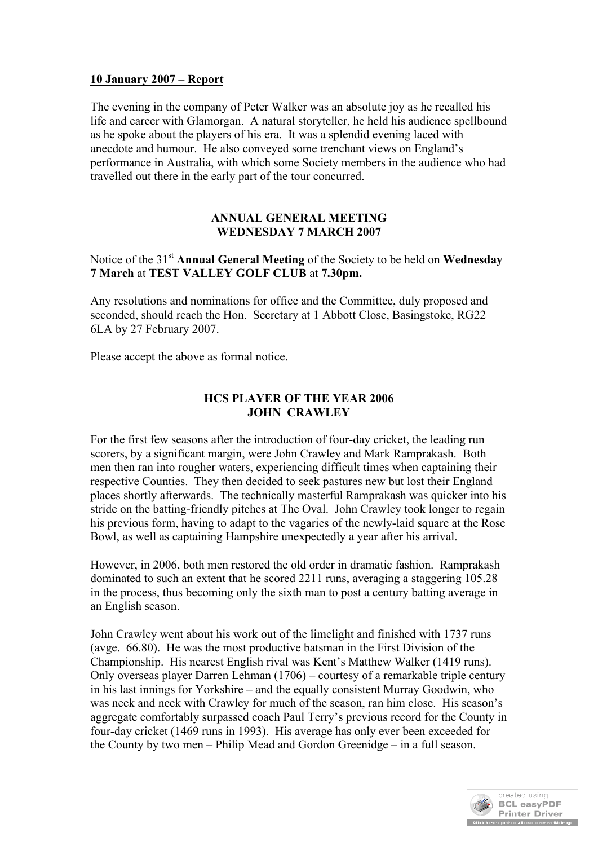## **10 January 2007 – Report**

The evening in the company of Peter Walker was an absolute joy as he recalled his life and career with Glamorgan. A natural storyteller, he held his audience spellbound as he spoke about the players of his era. It was a splendid evening laced with anecdote and humour. He also conveyed some trenchant views on England's performance in Australia, with which some Society members in the audience who had travelled out there in the early part of the tour concurred.

#### **ANNUAL GENERAL MEETING WEDNESDAY 7 MARCH 2007**

Notice of the 31st **Annual General Meeting** of the Society to be held on **Wednesday 7 March** at **TEST VALLEY GOLF CLUB** at **7.30pm.**

Any resolutions and nominations for office and the Committee, duly proposed and seconded, should reach the Hon. Secretary at 1 Abbott Close, Basingstoke, RG22 6LA by 27 February 2007.

Please accept the above as formal notice.

## **HCS PLAYER OF THE YEAR 2006 JOHN CRAWLEY**

For the first few seasons after the introduction of four-day cricket, the leading run scorers, by a significant margin, were John Crawley and Mark Ramprakash. Both men then ran into rougher waters, experiencing difficult times when captaining their respective Counties. They then decided to seek pastures new but lost their England places shortly afterwards. The technically masterful Ramprakash was quicker into his stride on the batting-friendly pitches at The Oval. John Crawley took longer to regain his previous form, having to adapt to the vagaries of the newly-laid square at the Rose Bowl, as well as captaining Hampshire unexpectedly a year after his arrival.

However, in 2006, both men restored the old order in dramatic fashion. Ramprakash dominated to such an extent that he scored 2211 runs, averaging a staggering 105.28 in the process, thus becoming only the sixth man to post a century batting average in an English season.

John Crawley went about his work out of the limelight and finished with 1737 runs (avge. 66.80). He was the most productive batsman in the First Division of the Championship. His nearest English rival was Kent's Matthew Walker (1419 runs). Only overseas player Darren Lehman (1706) – courtesy of a remarkable triple century in his last innings for Yorkshire – and the equally consistent Murray Goodwin, who was neck and neck with Crawley for much of the season, ran him close. His season's aggregate comfortably surpassed coach Paul Terry's previous record for the County in four-day cricket (1469 runs in 1993). His average has only ever been exceeded for the County by two men – Philip Mead and Gordon Greenidge – in a full season.

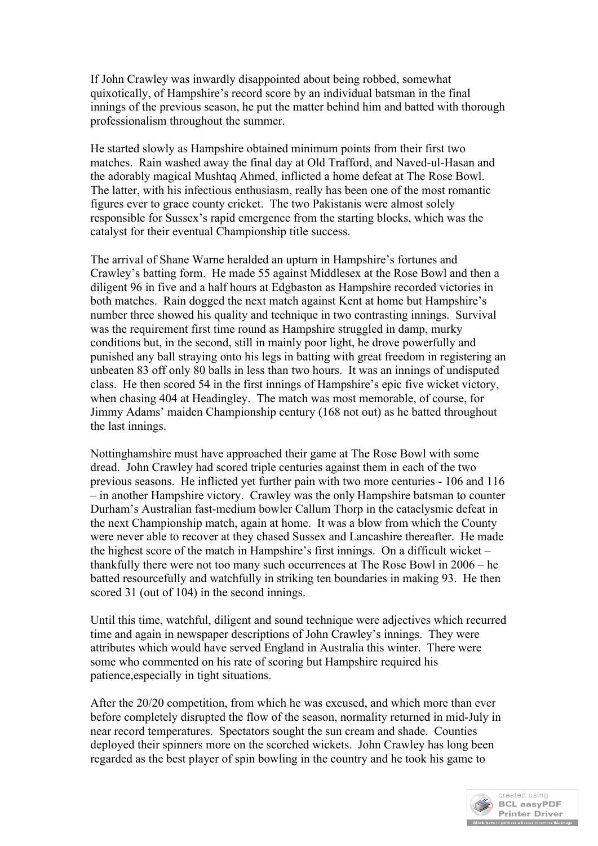If John Crawley was inwardly disappointed about being robbed, somewhat quixotically, of Hampshire's record score by an individual batsman in the final innings of the previous season, he put the matter behind him and batted with thorough professionalism throughout the summer.

He started slowly as Hampshire obtained minimum points from their first two matches. Rain washed away the final day at Old Trafford, and Naved-ul-Hasan and the adorably magical Mushtaq Ahmed, inflicted a home defeat at The Rose Bowl. The latter, with his infectious enthusiasm, really has been one of the most romantic figures ever to grace county cricket. The two Pakistanis were almost solely responsible for Sussex's rapid emergence from the starting blocks, which was the catalyst for their eventual Championship title success.

The arrival of Shane Warne heralded an upturn in Hampshire's fortunes and Crawley's batting form. He made 55 against Middlesex at the Rose Bowl and then a diligent 96 in five and a half hours at Edgbaston as Hampshire recorded victories in both matches. Rain dogged the next match against Kent at home but Hampshire's number three showed his quality and technique in two contrasting innings. Survival was the requirement first time round as Hampshire struggled in damp, murky conditions but, in the second, still in mainly poor light, he drove powerfully and punished any ball straying onto his legs in batting with great freedom in registering an unbeaten 83 off only 80 balls in less than two hours. It was an innings of undisputed class. He then scored 54 in the first innings of Hampshire's epic five wicket victory, when chasing 404 at Headingley. The match was most memorable, of course, for Jimmy Adams' maiden Championship century (168 not out) as he batted throughout the last innings.

Nottinghamshire must have approached their game at The Rose Bowl with some dread. John Crawley had scored triple centuries against them in each of the two previous seasons. He inflicted yet further pain with two more centuries - 106 and 116 – in another Hampshire victory. Crawley was the only Hampshire batsman to counter Durham's Australian fast-medium bowler Callum Thorp in the cataclysmic defeat in the next Championship match, again at home. It was a blow from which the County were never able to recover at they chased Sussex and Lancashire thereafter. He made the highest score of the match in Hampshire's first innings. On a difficult wicket – thankfully there were not too many such occurrences at The Rose Bowl in 2006 – he batted resourcefully and watchfully in striking ten boundaries in making 93. He then scored 31 (out of 104) in the second innings.

Until this time, watchful, diligent and sound technique were adjectives which recurred time and again in newspaper descriptions of John Crawley's innings. They were attributes which would have served England in Australia this winter. There were some who commented on his rate of scoring but Hampshire required his patience,especially in tight situations.

After the 20/20 competition, from which he was excused, and which more than ever before completely disrupted the flow of the season, normality returned in mid-July in near record temperatures. Spectators sought the sun cream and shade. Counties deployed their spinners more on the scorched wickets. John Crawley has long been regarded as the best player of spin bowling in the country and he took his game to